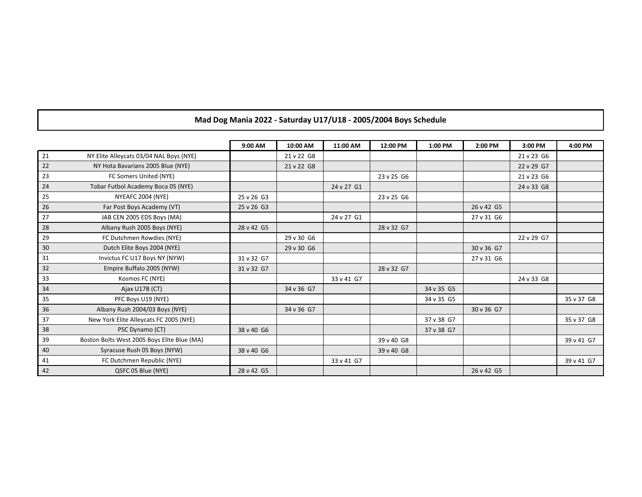## **Mad Dog Mania 2022 - Saturday U17/U18 - 2005/2004 Boys Schedule**

|    |                                             | 9:00 AM    | 10:00 AM   | 11:00 AM   | 12:00 PM   | 1:00 PM    | 2:00 PM    | 3:00 PM    | 4:00 PM    |
|----|---------------------------------------------|------------|------------|------------|------------|------------|------------|------------|------------|
| 21 | NY Elite Alleycats 03/04 NAL Boys (NYE)     |            | 21 v 22 G8 |            |            |            |            | 21 v 23 G6 |            |
| 22 | NY Hota Bavarians 2005 Blue (NYE)           |            | 21 v 22 G8 |            |            |            |            | 22 v 29 G7 |            |
| 23 | FC Somers United (NYE)                      |            |            |            | 23 v 25 G6 |            |            | 21 v 23 G6 |            |
| 24 | Tobar Futbol Academy Boca 05 (NYE)          |            |            | 24 v 27 G1 |            |            |            | 24 v 33 G8 |            |
| 25 | NYEAFC 2004 (NYE)                           | 25 v 26 G3 |            |            | 23 v 25 G6 |            |            |            |            |
| 26 | Far Post Boys Academy (VT)                  | 25 v 26 G3 |            |            |            |            | 26 v 42 G5 |            |            |
| 27 | JAB CEN 2005 EDS Boys (MA)                  |            |            | 24 v 27 G1 |            |            | 27 v 31 G6 |            |            |
| 28 | Albany Rush 2005 Boys (NYE)                 | 28 v 42 G5 |            |            | 28 v 32 G7 |            |            |            |            |
| 29 | FC Dutchmen Rowdies (NYE)                   |            | 29 v 30 G6 |            |            |            |            | 22 v 29 G7 |            |
| 30 | Dutch Elite Boys 2004 (NYE)                 |            | 29 v 30 G6 |            |            |            | 30 v 36 G7 |            |            |
| 31 | Invictus FC U17 Boys NY (NYW)               | 31 v 32 G7 |            |            |            |            | 27 v 31 G6 |            |            |
| 32 | Empire Buffalo 2005 (NYW)                   | 31 v 32 G7 |            |            | 28 v 32 G7 |            |            |            |            |
| 33 | Kosmos FC (NYE)                             |            |            | 33 v 41 G7 |            |            |            | 24 v 33 G8 |            |
| 34 | Ajax U17B (CT)                              |            | 34 v 36 G7 |            |            | 34 v 35 G5 |            |            |            |
| 35 | PFC Boys U19 (NYE)                          |            |            |            |            | 34 v 35 G5 |            |            | 35 v 37 G8 |
| 36 | Albany Rush 2004/03 Boys (NYE)              |            | 34 v 36 G7 |            |            |            | 30 v 36 G7 |            |            |
| 37 | New York Elite Alleycats FC 2005 (NYE)      |            |            |            |            | 37 v 38 G7 |            |            | 35 v 37 G8 |
| 38 | PSC Dynamo (CT)                             | 38 v 40 G6 |            |            |            | 37 v 38 G7 |            |            |            |
| 39 | Boston Bolts West 2005 Boys Elite Blue (MA) |            |            |            | 39 v 40 G8 |            |            |            | 39 v 41 G7 |
| 40 | Syracuse Rush 05 Boys (NYW)                 | 38 v 40 G6 |            |            | 39 v 40 G8 |            |            |            |            |
| 41 | FC Dutchmen Republic (NYE)                  |            |            | 33 v 41 G7 |            |            |            |            | 39 v 41 G7 |
| 42 | QSFC 05 Blue (NYE)                          | 28 v 42 G5 |            |            |            |            | 26 v 42 G5 |            |            |